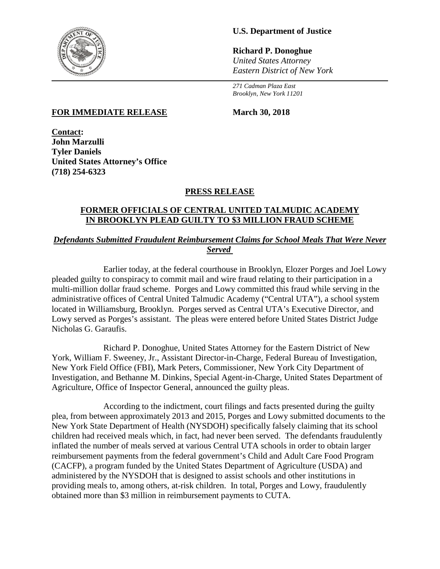

# **U.S. Department of Justice**

**Richard P. Donoghue** *United States Attorney Eastern District of New York*

*271 Cadman Plaza East Brooklyn, New York 11201*

### **FOR IMMEDIATE RELEASE March 30, 2018**

**Contact: John Marzulli Tyler Daniels United States Attorney's Office (718) 254-6323**

# **PRESS RELEASE**

### **FORMER OFFICIALS OF CENTRAL UNITED TALMUDIC ACADEMY IN BROOKLYN PLEAD GUILTY TO \$3 MILLION FRAUD SCHEME**

# *Defendants Submitted Fraudulent Reimbursement Claims for School Meals That Were Never Served*

Earlier today, at the federal courthouse in Brooklyn, Elozer Porges and Joel Lowy pleaded guilty to conspiracy to commit mail and wire fraud relating to their participation in a multi-million dollar fraud scheme. Porges and Lowy committed this fraud while serving in the administrative offices of Central United Talmudic Academy ("Central UTA"), a school system located in Williamsburg, Brooklyn. Porges served as Central UTA's Executive Director, and Lowy served as Porges's assistant. The pleas were entered before United States District Judge Nicholas G. Garaufis.

Richard P. Donoghue, United States Attorney for the Eastern District of New York, William F. Sweeney, Jr., Assistant Director-in-Charge, Federal Bureau of Investigation, New York Field Office (FBI), Mark Peters, Commissioner, New York City Department of Investigation, and Bethanne M. Dinkins, Special Agent-in-Charge, United States Department of Agriculture, Office of Inspector General, announced the guilty pleas.

According to the indictment, court filings and facts presented during the guilty plea, from between approximately 2013 and 2015, Porges and Lowy submitted documents to the New York State Department of Health (NYSDOH) specifically falsely claiming that its school children had received meals which, in fact, had never been served. The defendants fraudulently inflated the number of meals served at various Central UTA schools in order to obtain larger reimbursement payments from the federal government's Child and Adult Care Food Program (CACFP), a program funded by the United States Department of Agriculture (USDA) and administered by the NYSDOH that is designed to assist schools and other institutions in providing meals to, among others, at-risk children. In total, Porges and Lowy, fraudulently obtained more than \$3 million in reimbursement payments to CUTA.